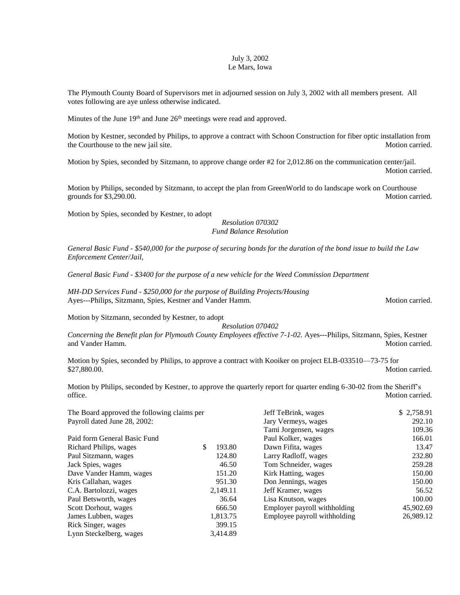## July 3, 2002 Le Mars, Iowa

The Plymouth County Board of Supervisors met in adjourned session on July 3, 2002 with all members present. All votes following are aye unless otherwise indicated.

Minutes of the June  $19<sup>th</sup>$  and June  $26<sup>th</sup>$  meetings were read and approved.

Motion by Kestner, seconded by Philips, to approve a contract with Schoon Construction for fiber optic installation from the Courthouse to the new jail site. Motion carried. Motion carried.

Motion by Spies, seconded by Sitzmann, to approve change order #2 for 2,012.86 on the communication center/jail. Motion carried.

Motion by Philips, seconded by Sitzmann, to accept the plan from GreenWorld to do landscape work on Courthouse grounds for \$3,290.00. Motion carried.

Motion by Spies, seconded by Kestner, to adopt

## *Resolution 070302 Fund Balance Resolution*

*General Basic Fund - \$540,000 for the purpose of securing bonds for the duration of the bond issue to build the Law Enforcement Center/Jail,*

*General Basic Fund - \$3400 for the purpose of a new vehicle for the Weed Commission Department* 

*MH-DD Services Fund - \$250,000 for the purpose of Building Projects/Housing* Ayes---Philips, Sitzmann, Spies, Kestner and Vander Hamm. Motion carried. Motion carried.

Motion by Sitzmann, seconded by Kestner, to adopt

*Resolution 070402*

*Concerning the Benefit plan for Plymouth County Employees effective 7-1-02. Ayes---Philips, Sitzmann, Spies, Kestner* and Vander Hamm. Motion carried.

Motion by Spies, seconded by Philips, to approve a contract with Kooiker on project ELB-033510—73-75 for \$27,880.00. Motion carried.

Motion by Philips, seconded by Kestner, to approve the quarterly report for quarter ending 6-30-02 from the Sheriff's office. Motion carried.

| The Board approved the following claims per |              | Jeff TeBrink, wages          | \$2,758.91 |  |
|---------------------------------------------|--------------|------------------------------|------------|--|
| Payroll dated June 28, 2002:                |              | Jary Vermeys, wages          | 292.10     |  |
|                                             |              | Tami Jorgensen, wages        | 109.36     |  |
| Paid form General Basic Fund                |              | Paul Kolker, wages           | 166.01     |  |
| Richard Philips, wages                      | \$<br>193.80 | Dawn Fifita, wages           | 13.47      |  |
| Paul Sitzmann, wages                        | 124.80       | Larry Radloff, wages         | 232.80     |  |
| Jack Spies, wages                           | 46.50        | Tom Schneider, wages         | 259.28     |  |
| Dave Vander Hamm, wages                     | 151.20       | Kirk Hatting, wages          | 150.00     |  |
| Kris Callahan, wages                        | 951.30       | Don Jennings, wages          | 150.00     |  |
| C.A. Bartolozzi, wages                      | 2,149.11     | Jeff Kramer, wages           | 56.52      |  |
| Paul Betsworth, wages                       | 36.64        | Lisa Knutson, wages          | 100.00     |  |
| Scott Dorhout, wages                        | 666.50       | Employer payroll withholding | 45,902.69  |  |
| James Lubben, wages                         | 1,813.75     | Employee payroll withholding | 26,989.12  |  |
| Rick Singer, wages                          | 399.15       |                              |            |  |
| Lynn Steckelberg, wages                     | 3,414.89     |                              |            |  |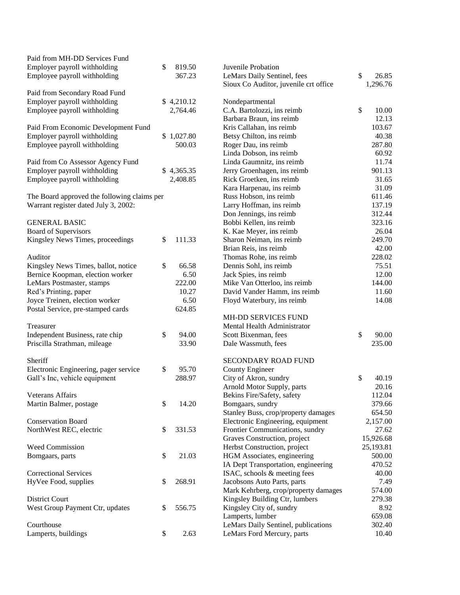| Paid from MH-DD Services Fund               |              |                                       |             |
|---------------------------------------------|--------------|---------------------------------------|-------------|
| Employer payroll withholding                | \$<br>819.50 | Juvenile Probation                    |             |
| Employee payroll withholding                | 367.23       | LeMars Daily Sentinel, fees           | \$<br>26.85 |
|                                             |              | Sioux Co Auditor, juvenile crt office | 1,296.76    |
| Paid from Secondary Road Fund               |              |                                       |             |
| Employer payroll withholding                | \$4,210.12   | Nondepartmental                       |             |
| Employee payroll withholding                | 2,764.46     | C.A. Bartolozzi, ins reimb            | \$<br>10.00 |
|                                             |              | Barbara Braun, ins reimb              | 12.13       |
| Paid From Economic Development Fund         |              | Kris Callahan, ins reimb              | 103.67      |
| Employer payroll withholding                | \$1,027.80   | Betsy Chilton, ins reimb              | 40.38       |
| Employee payroll withholding                | 500.03       | Roger Dau, ins reimb                  | 287.80      |
|                                             |              | Linda Dobson, ins reimb               | 60.92       |
| Paid from Co Assessor Agency Fund           |              | Linda Gaumnitz, ins reimb             | 11.74       |
| Employer payroll withholding                | \$4,365.35   | Jerry Groenhagen, ins reimb           | 901.13      |
| Employee payroll withholding                | 2,408.85     | Rick Groetken, ins reimb              | 31.65       |
|                                             |              | Kara Harpenau, ins reimb              | 31.09       |
| The Board approved the following claims per |              | Russ Hobson, ins reimb                | 611.46      |
| Warrant register dated July 3, 2002:        |              | Larry Hoffman, ins reimb              | 137.19      |
|                                             |              | Don Jennings, ins reimb               | 312.44      |
| <b>GENERAL BASIC</b>                        |              | Bobbi Kellen, ins reimb               | 323.16      |
| <b>Board of Supervisors</b>                 |              | K. Kae Meyer, ins reimb               | 26.04       |
| Kingsley News Times, proceedings            | \$<br>111.33 | Sharon Neiman, ins reimb              | 249.70      |
|                                             |              | Brian Reis, ins reimb                 | 42.00       |
| Auditor                                     |              | Thomas Rohe, ins reimb                | 228.02      |
| Kingsley News Times, ballot, notice         | \$<br>66.58  | Dennis Sohl, ins reimb                | 75.51       |
| Bernice Koopman, election worker            | 6.50         | Jack Spies, ins reimb                 | 12.00       |
| LeMars Postmaster, stamps                   | 222.00       | Mike Van Otterloo, ins reimb          | 144.00      |
| Red's Printing, paper                       | 10.27        | David Vander Hamm, ins reimb          | 11.60       |
| Joyce Treinen, election worker              | 6.50         | Floyd Waterbury, ins reimb            | 14.08       |
| Postal Service, pre-stamped cards           | 624.85       |                                       |             |
|                                             |              | MH-DD SERVICES FUND                   |             |
| Treasurer                                   |              | Mental Health Administrator           |             |
| Independent Business, rate chip             | \$<br>94.00  | Scott Bixenman, fees                  | \$<br>90.00 |
| Priscilla Strathman, mileage                | 33.90        | Dale Wassmuth, fees                   | 235.00      |
| Sheriff                                     |              | SECONDARY ROAD FUND                   |             |
| Electronic Engineering, pager service       | \$<br>95.70  | <b>County Engineer</b>                |             |
| Gall's Inc, vehicle equipment               | 288.97       | City of Akron, sundry                 | \$<br>40.19 |
|                                             |              | Arnold Motor Supply, parts            | 20.16       |
| <b>Veterans Affairs</b>                     |              | Bekins Fire/Safety, safety            | 112.04      |
| Martin Balmer, postage                      | \$<br>14.20  | Bomgaars, sundry                      | 379.66      |
|                                             |              | Stanley Buss, crop/property damages   | 654.50      |
| <b>Conservation Board</b>                   |              | Electronic Engineering, equipment     | 2,157.00    |
| NorthWest REC, electric                     | \$<br>331.53 | Frontier Communications, sundry       | 27.62       |
|                                             |              | Graves Construction, project          | 15,926.68   |
| <b>Weed Commission</b>                      |              | Herbst Construction, project          | 25,193.81   |
| Bomgaars, parts                             | \$<br>21.03  | HGM Associates, engineering           | 500.00      |
|                                             |              | IA Dept Transportation, engineering   | 470.52      |
| <b>Correctional Services</b>                |              | ISAC, schools & meeting fees          | 40.00       |
| HyVee Food, supplies                        | \$<br>268.91 | Jacobsons Auto Parts, parts           | 7.49        |
|                                             |              | Mark Kehrberg, crop/property damages  | 574.00      |
| District Court                              |              | Kingsley Building Ctr, lumbers        | 279.38      |
| West Group Payment Ctr, updates             | \$<br>556.75 | Kingsley City of, sundry              | 8.92        |
|                                             |              | Lamperts, lumber                      | 659.08      |
| Courthouse                                  |              | LeMars Daily Sentinel, publications   | 302.40      |
| Lamperts, buildings                         | \$<br>2.63   | LeMars Ford Mercury, parts            | 10.40       |